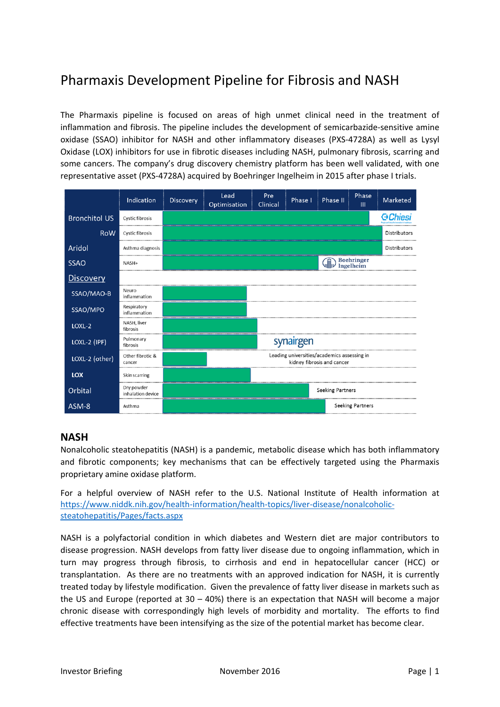# Pharmaxis Development Pipeline for Fibrosis and NASH

The Pharmaxis pipeline is focused on areas of high unmet clinical need in the treatment of inflammation and fibrosis. The pipeline includes the development of semicarbazide‐sensitive amine oxidase (SSAO) inhibitor for NASH and other inflammatory diseases (PXS‐4728A) as well as Lysyl Oxidase (LOX) inhibitors for use in fibrotic diseases including NASH, pulmonary fibrosis, scarring and some cancers. The company's drug discovery chemistry platform has been well validated, with one representative asset (PXS-4728A) acquired by Boehringer Ingelheim in 2015 after phase I trials.

|                      | Indication                      | Discovery | Lead<br>Optimisation | Pre<br>Clinical | Phase I                                     | Phase II                   | Phase<br>$\mathbf{m}$   | Marketed        |
|----------------------|---------------------------------|-----------|----------------------|-----------------|---------------------------------------------|----------------------------|-------------------------|-----------------|
| <b>Bronchitol US</b> | <b>Cystic fibrosis</b>          |           |                      |                 |                                             |                            |                         | <b>G</b> Chiesi |
| <b>RoW</b>           | <b>Cystic fibrosis</b>          |           |                      |                 |                                             |                            |                         | Distributors    |
| Aridol               | Asthma diagnosis                |           |                      |                 |                                             |                            |                         | Distributors    |
| <b>SSAO</b>          | NASH+                           |           |                      |                 |                                             | <b>Gives</b> Boehringer    |                         |                 |
| <b>Discovery</b>     |                                 |           |                      |                 |                                             |                            |                         |                 |
| SSAO/MAO-B           | Neuro<br>inflammation           |           |                      |                 |                                             |                            |                         |                 |
| SSAO/MPO             | Respiratory<br>inflammation     |           |                      |                 |                                             |                            |                         |                 |
| LOXL-2               | NASH, liver<br>fibrosis         |           |                      |                 |                                             |                            |                         |                 |
| LOXL-2 (IPF)         | Pulmonary<br>fibrosis           |           |                      |                 | synairgen                                   |                            |                         |                 |
| LOXL-2 (other)       | Other fibrotic &<br>cancer      |           |                      |                 | Leading universities/academics assessing in | kidney fibrosis and cancer |                         |                 |
| <b>LOX</b>           | Skin scarring                   |           |                      |                 |                                             |                            |                         |                 |
| Orbital              | Dry powder<br>inhalation device |           |                      |                 |                                             | <b>Seeking Partners</b>    |                         |                 |
| ASM-8                | Asthma                          |           |                      |                 |                                             |                            | <b>Seeking Partners</b> |                 |

# **NASH**

Nonalcoholic steatohepatitis (NASH) is a pandemic, metabolic disease which has both inflammatory and fibrotic components; key mechanisms that can be effectively targeted using the Pharmaxis proprietary amine oxidase platform.

For a helpful overview of NASH refer to the U.S. National Institute of Health information at [https://www.niddk.nih.gov/health](https://www.niddk.nih.gov/health-information/health-topics/liver-disease/nonalcoholic-steatohepatitis/Pages/facts.aspx)‐information/health‐topics/liver‐disease/nonalcoholic‐ steatohepatitis/Pages/facts.aspx

NASH is a polyfactorial condition in which diabetes and Western diet are major contributors to disease progression. NASH develops from fatty liver disease due to ongoing inflammation, which in turn may progress through fibrosis, to cirrhosis and end in hepatocellular cancer (HCC) or transplantation. As there are no treatments with an approved indication for NASH, it is currently treated today by lifestyle modification. Given the prevalence of fatty liver disease in markets such as the US and Europe (reported at  $30 - 40%$ ) there is an expectation that NASH will become a major chronic disease with correspondingly high levels of morbidity and mortality. The efforts to find effective treatments have been intensifying as the size of the potential market has become clear.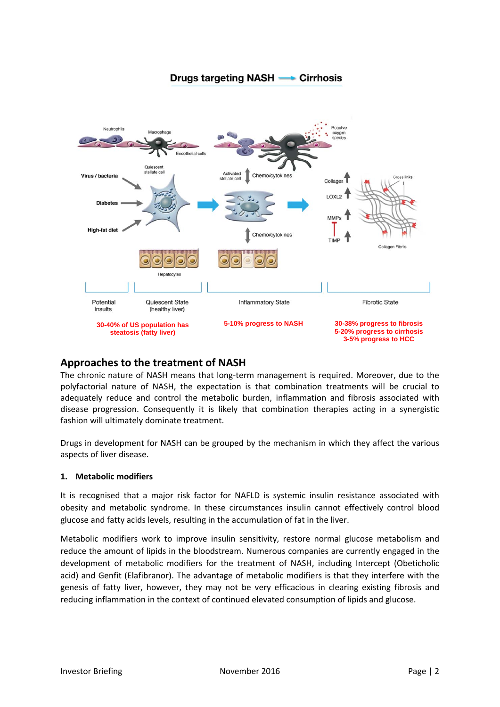

#### Drugs targeting NASH -**Cirrhosis**

# **Approaches to the treatment of NASH**

The chronic nature of NASH means that long‐term management is required. Moreover, due to the polyfactorial nature of NASH, the expectation is that combination treatments will be crucial to adequately reduce and control the metabolic burden, inflammation and fibrosis associated with disease progression. Consequently it is likely that combination therapies acting in a synergistic fashion will ultimately dominate treatment.

Drugs in development for NASH can be grouped by the mechanism in which they affect the various aspects of liver disease.

#### **1. Metabolic modifiers**

It is recognised that a major risk factor for NAFLD is systemic insulin resistance associated with obesity and metabolic syndrome. In these circumstances insulin cannot effectively control blood glucose and fatty acids levels, resulting in the accumulation of fat in the liver.

Metabolic modifiers work to improve insulin sensitivity, restore normal glucose metabolism and reduce the amount of lipids in the bloodstream. Numerous companies are currently engaged in the development of metabolic modifiers for the treatment of NASH, including Intercept (Obeticholic acid) and Genfit (Elafibranor). The advantage of metabolic modifiers is that they interfere with the genesis of fatty liver, however, they may not be very efficacious in clearing existing fibrosis and reducing inflammation in the context of continued elevated consumption of lipids and glucose.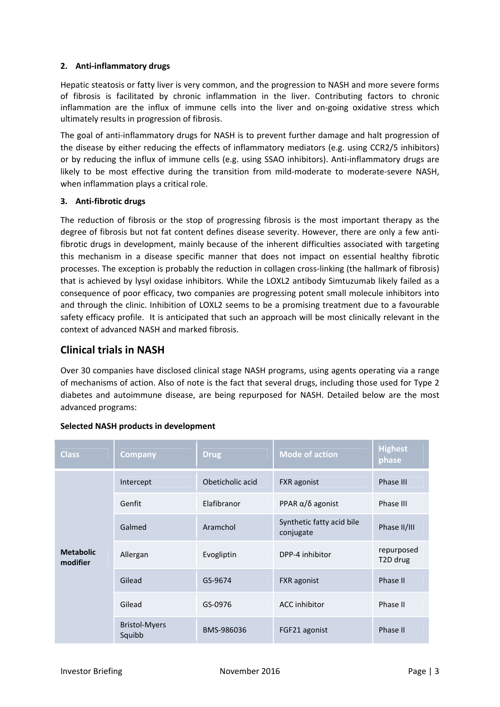#### **2. Anti‐inflammatory drugs**

Hepatic steatosis or fatty liver is very common, and the progression to NASH and more severe forms of fibrosis is facilitated by chronic inflammation in the liver. Contributing factors to chronic inflammation are the influx of immune cells into the liver and on-going oxidative stress which ultimately results in progression of fibrosis.

The goal of anti-inflammatory drugs for NASH is to prevent further damage and halt progression of the disease by either reducing the effects of inflammatory mediators (e.g. using CCR2/5 inhibitors) or by reducing the influx of immune cells (e.g. using SSAO inhibitors). Anti-inflammatory drugs are likely to be most effective during the transition from mild-moderate to moderate-severe NASH, when inflammation plays a critical role.

#### **3. Anti‐fibrotic drugs**

The reduction of fibrosis or the stop of progressing fibrosis is the most important therapy as the degree of fibrosis but not fat content defines disease severity. However, there are only a few anti‐ fibrotic drugs in development, mainly because of the inherent difficulties associated with targeting this mechanism in a disease specific manner that does not impact on essential healthy fibrotic processes. The exception is probably the reduction in collagen cross‐linking (the hallmark of fibrosis) that is achieved by lysyl oxidase inhibitors. While the LOXL2 antibody Simtuzumab likely failed as a consequence of poor efficacy, two companies are progressing potent small molecule inhibitors into and through the clinic. Inhibition of LOXL2 seems to be a promising treatment due to a favourable safety efficacy profile. It is anticipated that such an approach will be most clinically relevant in the context of advanced NASH and marked fibrosis.

# **Clinical trials in NASH**

Over 30 companies have disclosed clinical stage NASH programs, using agents operating via a range of mechanisms of action. Also of note is the fact that several drugs, including those used for Type 2 diabetes and autoimmune disease, are being repurposed for NASH. Detailed below are the most advanced programs:

| <b>Class</b>                 | <b>Company</b>                 | <b>Drug</b>      | <b>Mode of action</b>                  | <b>Highest</b><br>phase             |
|------------------------------|--------------------------------|------------------|----------------------------------------|-------------------------------------|
| <b>Metabolic</b><br>modifier | Intercept                      | Obeticholic acid | <b>FXR</b> agonist                     | Phase III                           |
|                              | Genfit                         | Elafibranor      |                                        | Phase III                           |
|                              | Galmed                         | Aramchol         | Synthetic fatty acid bile<br>conjugate | Phase II/III                        |
|                              | Allergan<br>Evogliptin         |                  | DPP-4 inhibitor                        | repurposed<br>T <sub>2</sub> D drug |
|                              | Gilead                         | GS-9674          | <b>FXR</b> agonist                     | Phase II                            |
|                              | Gilead                         | GS-0976          | <b>ACC</b> inhibitor                   | Phase II                            |
|                              | <b>Bristol-Myers</b><br>Squibb | BMS-986036       | FGF21 agonist                          | Phase II                            |

### **Selected NASH products in development**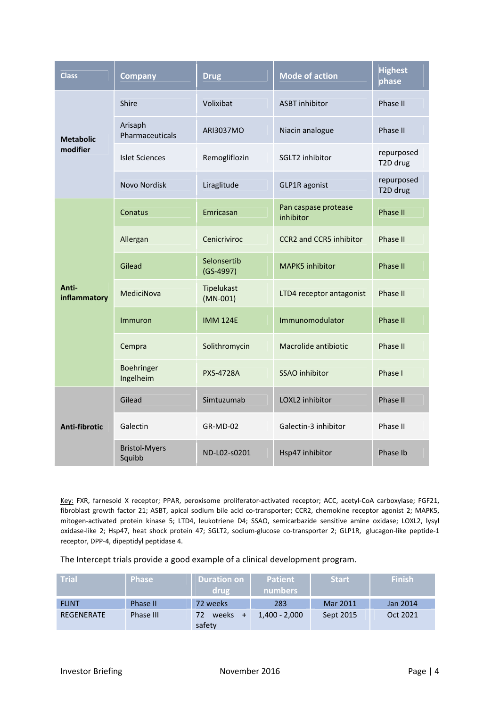| <b>Class</b>                 | <b>Company</b>                 | <b>Drug</b>                               | <b>Mode of action</b>                 | <b>Highest</b><br>phase |
|------------------------------|--------------------------------|-------------------------------------------|---------------------------------------|-------------------------|
| <b>Metabolic</b><br>modifier | Shire                          | Volixibat                                 | <b>ASBT</b> inhibitor                 | Phase II                |
|                              | Arisaph<br>Pharmaceuticals     | ARI3037MO                                 | Niacin analogue                       | Phase II                |
|                              | <b>Islet Sciences</b>          | Remogliflozin                             | SGLT2 inhibitor                       | repurposed<br>T2D drug  |
|                              | Novo Nordisk                   | Liraglitude<br>GLP1R agonist              |                                       | repurposed<br>T2D drug  |
| Anti-<br>inflammatory        | Conatus                        | Emricasan                                 | Pan caspase protease<br>inhibitor     | Phase II                |
|                              | Allergan                       | Cenicriviroc                              | <b>CCR2</b> and <b>CCR5</b> inhibitor | Phase II                |
|                              | Gilead                         | Selonsertib<br>$(GS-4997)$                | <b>MAPK5</b> inhibitor                | <b>Phase II</b>         |
|                              | MediciNova                     | Tipelukast<br>$(MN-001)$                  | LTD4 receptor antagonist              | Phase II                |
|                              | Immuron                        | <b>IMM 124E</b>                           | Immunomodulator                       | <b>Phase II</b>         |
|                              | Cempra                         | Solithromycin                             | Macrolide antibiotic                  | Phase II                |
|                              | Boehringer<br>Ingelheim        | <b>SSAO</b> inhibitor<br><b>PXS-4728A</b> |                                       | Phase I                 |
| Anti-fibrotic                | Gilead                         | Simtuzumab                                | LOXL2 inhibitor                       | Phase II                |
|                              | Galectin                       | <b>GR-MD-02</b>                           | Galectin-3 inhibitor                  | Phase II                |
|                              | <b>Bristol-Myers</b><br>Squibb | ND-L02-s0201                              | Hsp47 inhibitor                       | Phase Ib                |

Key: FXR, farnesoid X receptor; PPAR, peroxisome proliferator-activated receptor; ACC, acetyl-CoA carboxylase; FGF21, fibroblast growth factor 21; ASBT, apical sodium bile acid co-transporter; CCR2, chemokine receptor agonist 2; MAPK5, mitogen‐activated protein kinase 5; LTD4, leukotriene D4; SSAO, semicarbazide sensitive amine oxidase; LOXL2, lysyl oxidase-like 2; Hsp47, heat shock protein 47; SGLT2, sodium-glucose co-transporter 2; GLP1R, glucagon-like peptide-1 receptor, DPP‐4, dipeptidyl peptidase 4.

The Intercept trials provide a good example of a clinical development program.

| <b>Trial</b>      | <b>Phase</b> | <b>Duration on</b><br>drug | <b>Patient</b><br>numbers | <b>Start</b> | <b>Finish</b> |
|-------------------|--------------|----------------------------|---------------------------|--------------|---------------|
| <b>FLINT</b>      | Phase II     | 72 weeks                   | 283                       | Mar 2011     | Jan 2014      |
| <b>REGENERATE</b> | Phase III    | 72<br>weeks<br>$+$         | $1,400 - 2,000$           | Sept 2015    | Oct 2021      |
|                   |              | safety                     |                           |              |               |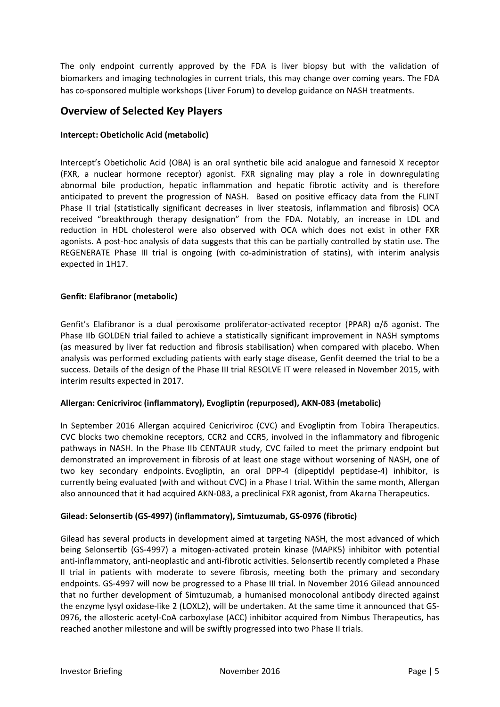The only endpoint currently approved by the FDA is liver biopsy but with the validation of biomarkers and imaging technologies in current trials, this may change over coming years. The FDA has co-sponsored multiple workshops (Liver Forum) to develop guidance on NASH treatments.

# **Overview of Selected Key Players**

#### **Intercept: Obeticholic Acid (metabolic)**

Intercept's Obeticholic Acid (OBA) is an oral synthetic bile acid analogue and farnesoid X receptor (FXR, a nuclear hormone receptor) agonist. FXR signaling may play a role in downregulating abnormal bile production, hepatic inflammation and hepatic fibrotic activity and is therefore anticipated to prevent the progression of NASH. Based on positive efficacy data from the FLINT Phase II trial (statistically significant decreases in liver steatosis, inflammation and fibrosis) OCA received "breakthrough therapy designation" from the FDA. Notably, an increase in LDL and reduction in HDL cholesterol were also observed with OCA which does not exist in other FXR agonists. A post‐hoc analysis of data suggests that this can be partially controlled by statin use. The REGENERATE Phase III trial is ongoing (with co-administration of statins), with interim analysis expected in 1H17.

#### **Genfit: Elafibranor (metabolic)**

Genfit's Elafibranor is a dual peroxisome proliferator-activated receptor (PPAR)  $\alpha/\delta$  agonist. The Phase IIb GOLDEN trial failed to achieve a statistically significant improvement in NASH symptoms (as measured by liver fat reduction and fibrosis stabilisation) when compared with placebo. When analysis was performed excluding patients with early stage disease, Genfit deemed the trial to be a success. Details of the design of the Phase III trial RESOLVE IT were released in November 2015, with interim results expected in 2017.

#### **Allergan: Cenicriviroc (inflammatory), Evogliptin (repurposed), AKN‐083 (metabolic)**

In September 2016 Allergan acquired Cenicriviroc (CVC) and Evogliptin from Tobira Therapeutics. CVC blocks two chemokine receptors, CCR2 and CCR5, involved in the inflammatory and fibrogenic pathways in NASH. In the Phase IIb CENTAUR study, CVC failed to meet the primary endpoint but demonstrated an improvement in fibrosis of at least one stage without worsening of NASH, one of two key secondary endpoints. Evogliptin, an oral DPP‐4 (dipeptidyl peptidase‐4) inhibitor, is currently being evaluated (with and without CVC) in a Phase I trial. Within the same month, Allergan also announced that it had acquired AKN‐083, a preclinical FXR agonist, from Akarna Therapeutics.

### **Gilead: Selonsertib (GS‐4997) (inflammatory), Simtuzumab, GS‐0976 (fibrotic)**

Gilead has several products in development aimed at targeting NASH, the most advanced of which being Selonsertib (GS‐4997) a mitogen‐activated protein kinase (MAPK5) inhibitor with potential anti-inflammatory, anti-neoplastic and anti-fibrotic activities. Selonsertib recently completed a Phase II trial in patients with moderate to severe fibrosis, meeting both the primary and secondary endpoints. GS‐4997 will now be progressed to a Phase III trial. In November 2016 Gilead announced that no further development of Simtuzumab, a humanised monocolonal antibody directed against the enzyme lysyl oxidase-like 2 (LOXL2), will be undertaken. At the same time it announced that GS-0976, the allosteric acetyl‐CoA carboxylase (ACC) inhibitor acquired from Nimbus Therapeutics, has reached another milestone and will be swiftly progressed into two Phase II trials.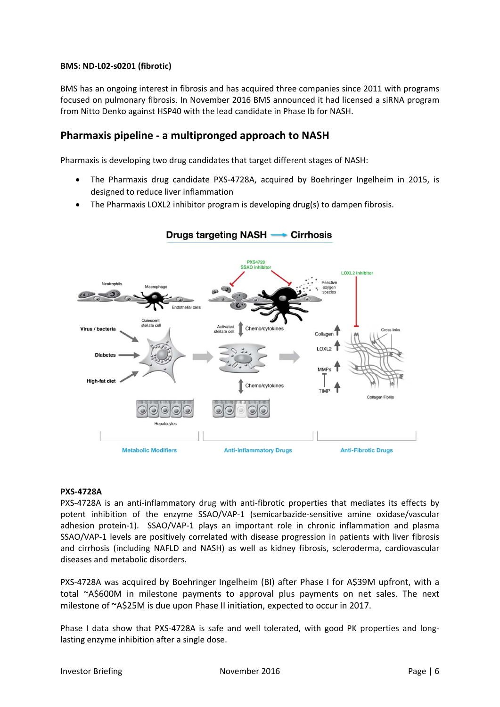#### **BMS: ND‐L02‐s0201 (fibrotic)**

BMS has an ongoing interest in fibrosis and has acquired three companies since 2011 with programs focused on pulmonary fibrosis. In November 2016 BMS announced it had licensed a siRNA program from Nitto Denko against HSP40 with the lead candidate in Phase Ib for NASH.

## **Pharmaxis pipeline ‐ a multipronged approach to NASH**

Pharmaxis is developing two drug candidates that target different stages of NASH:

- The Pharmaxis drug candidate PXS‐4728A, acquired by Boehringer Ingelheim in 2015, is designed to reduce liver inflammation
- The Pharmaxis LOXL2 inhibitor program is developing drug(s) to dampen fibrosis.



#### Drugs targeting NASH -• Cirrhosis

#### **PXS‐4728A**

PXS-4728A is an anti-inflammatory drug with anti-fibrotic properties that mediates its effects by potent inhibition of the enzyme SSAO/VAP-1 (semicarbazide-sensitive amine oxidase/vascular adhesion protein-1). SSAO/VAP-1 plays an important role in chronic inflammation and plasma SSAO/VAP-1 levels are positively correlated with disease progression in patients with liver fibrosis and cirrhosis (including NAFLD and NASH) as well as kidney fibrosis, scleroderma, cardiovascular diseases and metabolic disorders.

PXS-4728A was acquired by Boehringer Ingelheim (BI) after Phase I for A\$39M upfront, with a total ~A\$600M in milestone payments to approval plus payments on net sales. The next milestone of ~A\$25M is due upon Phase II initiation, expected to occur in 2017.

Phase I data show that PXS-4728A is safe and well tolerated, with good PK properties and longlasting enzyme inhibition after a single dose.